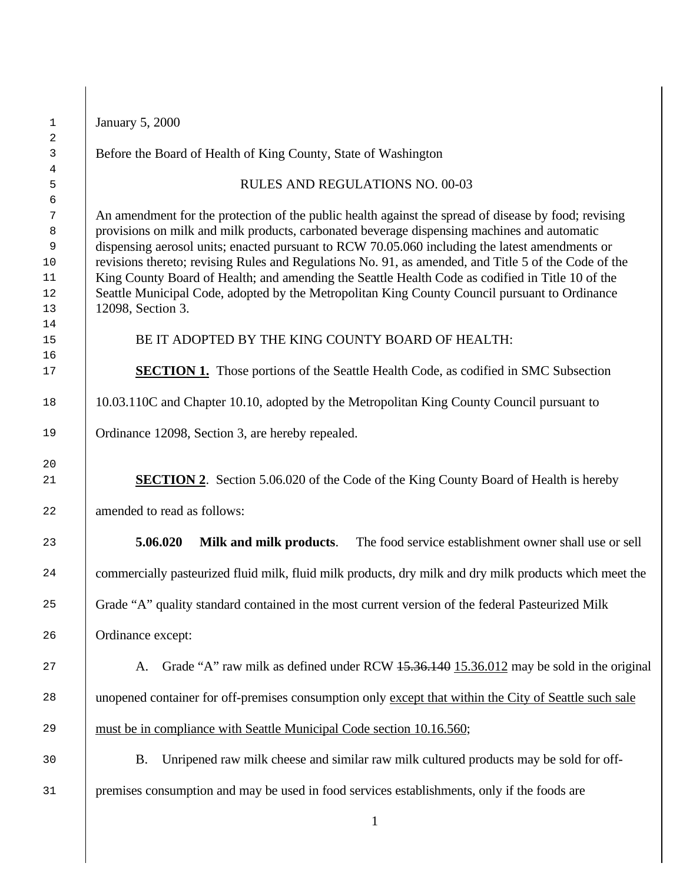| $\mathbf 1$                                | <b>January 5, 2000</b>                                                                                                                                                                                                                                                                                                                                                                                                                                                                                                                                                                                                                  |  |  |
|--------------------------------------------|-----------------------------------------------------------------------------------------------------------------------------------------------------------------------------------------------------------------------------------------------------------------------------------------------------------------------------------------------------------------------------------------------------------------------------------------------------------------------------------------------------------------------------------------------------------------------------------------------------------------------------------------|--|--|
| 2<br>$\mathbf{3}$                          | Before the Board of Health of King County, State of Washington                                                                                                                                                                                                                                                                                                                                                                                                                                                                                                                                                                          |  |  |
| 4<br>5                                     | RULES AND REGULATIONS NO. 00-03                                                                                                                                                                                                                                                                                                                                                                                                                                                                                                                                                                                                         |  |  |
| 6<br>7<br>8<br>9<br>$10$<br>11<br>12<br>13 | An amendment for the protection of the public health against the spread of disease by food; revising<br>provisions on milk and milk products, carbonated beverage dispensing machines and automatic<br>dispensing aerosol units; enacted pursuant to RCW 70.05.060 including the latest amendments or<br>revisions thereto; revising Rules and Regulations No. 91, as amended, and Title 5 of the Code of the<br>King County Board of Health; and amending the Seattle Health Code as codified in Title 10 of the<br>Seattle Municipal Code, adopted by the Metropolitan King County Council pursuant to Ordinance<br>12098, Section 3. |  |  |
| 14<br>15                                   | BE IT ADOPTED BY THE KING COUNTY BOARD OF HEALTH:                                                                                                                                                                                                                                                                                                                                                                                                                                                                                                                                                                                       |  |  |
| 16<br>17                                   | <b>SECTION 1.</b> Those portions of the Seattle Health Code, as codified in SMC Subsection                                                                                                                                                                                                                                                                                                                                                                                                                                                                                                                                              |  |  |
| 18                                         | 10.03.110C and Chapter 10.10, adopted by the Metropolitan King County Council pursuant to                                                                                                                                                                                                                                                                                                                                                                                                                                                                                                                                               |  |  |
| 19                                         | Ordinance 12098, Section 3, are hereby repealed.                                                                                                                                                                                                                                                                                                                                                                                                                                                                                                                                                                                        |  |  |
| 20<br>21                                   | <b>SECTION 2.</b> Section 5.06.020 of the Code of the King County Board of Health is hereby                                                                                                                                                                                                                                                                                                                                                                                                                                                                                                                                             |  |  |
| 22                                         | amended to read as follows:                                                                                                                                                                                                                                                                                                                                                                                                                                                                                                                                                                                                             |  |  |
| 23                                         | 5.06.020<br>Milk and milk products.<br>The food service establishment owner shall use or sell                                                                                                                                                                                                                                                                                                                                                                                                                                                                                                                                           |  |  |
| 24                                         | commercially pasteurized fluid milk, fluid milk products, dry milk and dry milk products which meet the                                                                                                                                                                                                                                                                                                                                                                                                                                                                                                                                 |  |  |
| 25                                         | Grade "A" quality standard contained in the most current version of the federal Pasteurized Milk                                                                                                                                                                                                                                                                                                                                                                                                                                                                                                                                        |  |  |
| 26                                         | Ordinance except:                                                                                                                                                                                                                                                                                                                                                                                                                                                                                                                                                                                                                       |  |  |
| 27                                         | Grade "A" raw milk as defined under RCW 15.36.140 15.36.012 may be sold in the original<br>A.                                                                                                                                                                                                                                                                                                                                                                                                                                                                                                                                           |  |  |
| 28                                         | unopened container for off-premises consumption only except that within the City of Seattle such sale                                                                                                                                                                                                                                                                                                                                                                                                                                                                                                                                   |  |  |
| 29                                         | must be in compliance with Seattle Municipal Code section 10.16.560;                                                                                                                                                                                                                                                                                                                                                                                                                                                                                                                                                                    |  |  |
| 30                                         | Unripened raw milk cheese and similar raw milk cultured products may be sold for off-<br><b>B.</b>                                                                                                                                                                                                                                                                                                                                                                                                                                                                                                                                      |  |  |
| 31                                         | premises consumption and may be used in food services establishments, only if the foods are                                                                                                                                                                                                                                                                                                                                                                                                                                                                                                                                             |  |  |
|                                            | $\mathbf{1}$                                                                                                                                                                                                                                                                                                                                                                                                                                                                                                                                                                                                                            |  |  |
|                                            |                                                                                                                                                                                                                                                                                                                                                                                                                                                                                                                                                                                                                                         |  |  |

14

16<br>17

20

26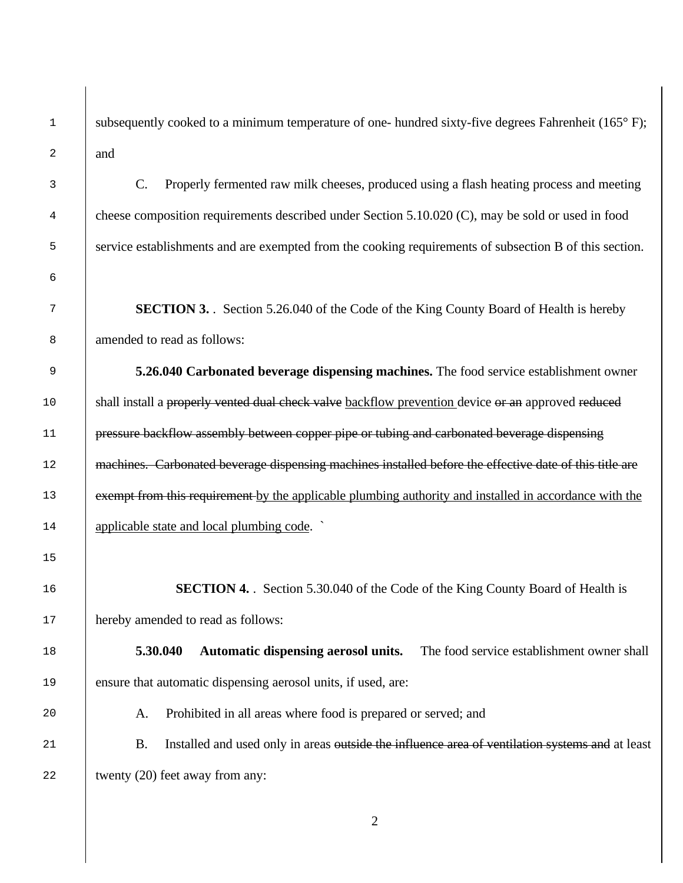1 subsequently cooked to a minimum temperature of one- hundred sixty-five degrees Fahrenheit (165°F); and

 C. Properly fermented raw milk cheeses, produced using a flash heating process and meeting cheese composition requirements described under Section 5.10.020 (C), may be sold or used in food service establishments and are exempted from the cooking requirements of subsection B of this section.

 **SECTION 3.** . Section 5.26.040 of the Code of the King County Board of Health is hereby amended to read as follows:

 **5.26.040 Carbonated beverage dispensing machines.** The food service establishment owner 10 Shall install a properly vented dual check valve backflow prevention device or an approved reduced 11 pressure backflow assembly between copper pipe or tubing and carbonated beverage dispensing 12 | machines. Carbonated beverage dispensing machines installed before the effective date of this title are 13 exempt from this requirement by the applicable plumbing authority and installed in accordance with the applicable state and local plumbing code. `

**SECTION 4.** Section 5.30.040 of the Code of the King County Board of Health is 17 hereby amended to read as follows:

 **5.30.040 Automatic dispensing aerosol units.** The food service establishment owner shall ensure that automatic dispensing aerosol units, if used, are:

A. Prohibited in all areas where food is prepared or served; and

21 B. Installed and used only in areas <del>outside the influence area of ventilation systems and</del> at least 22 twenty (20) feet away from any: